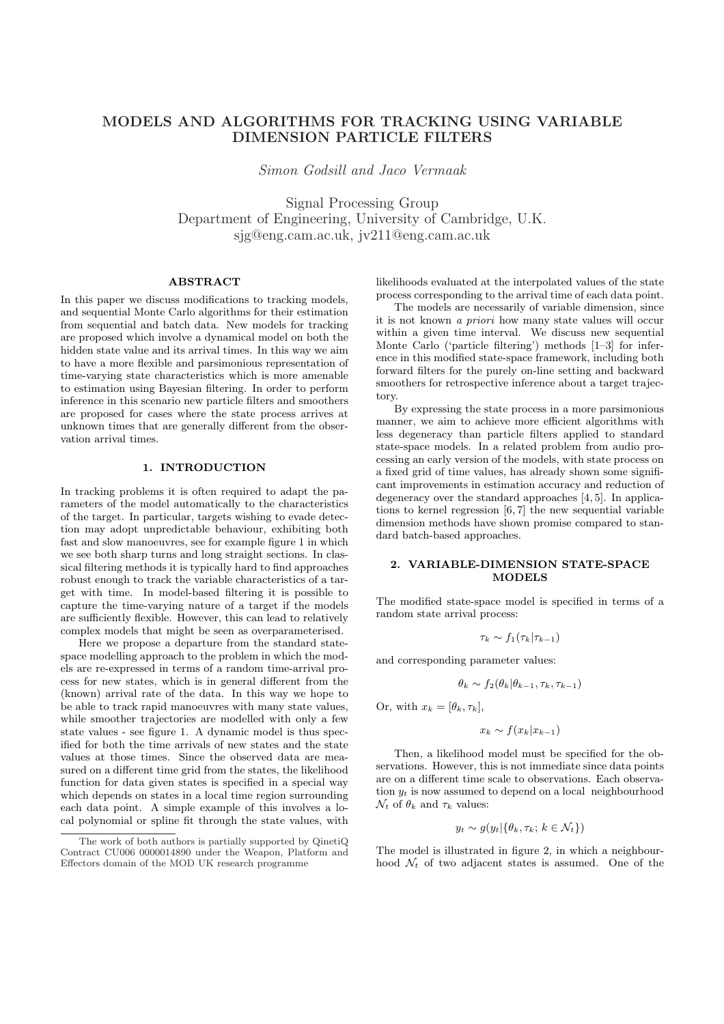# MODELS AND ALGORITHMS FOR TRACKING USING VARIABLE DIMENSION PARTICLE FILTERS

Simon Godsill and Jaco Vermaak

Signal Processing Group Department of Engineering, University of Cambridge, U.K. sjg@eng.cam.ac.uk, jv211@eng.cam.ac.uk

# ABSTRACT

In this paper we discuss modifications to tracking models, and sequential Monte Carlo algorithms for their estimation from sequential and batch data. New models for tracking are proposed which involve a dynamical model on both the hidden state value and its arrival times. In this way we aim to have a more flexible and parsimonious representation of time-varying state characteristics which is more amenable to estimation using Bayesian filtering. In order to perform inference in this scenario new particle filters and smoothers are proposed for cases where the state process arrives at unknown times that are generally different from the observation arrival times.

# 1. INTRODUCTION

In tracking problems it is often required to adapt the parameters of the model automatically to the characteristics of the target. In particular, targets wishing to evade detection may adopt unpredictable behaviour, exhibiting both fast and slow manoeuvres, see for example figure 1 in which we see both sharp turns and long straight sections. In classical filtering methods it is typically hard to find approaches robust enough to track the variable characteristics of a target with time. In model-based filtering it is possible to capture the time-varying nature of a target if the models are sufficiently flexible. However, this can lead to relatively complex models that might be seen as overparameterised.

Here we propose a departure from the standard statespace modelling approach to the problem in which the models are re-expressed in terms of a random time-arrival process for new states, which is in general different from the (known) arrival rate of the data. In this way we hope to be able to track rapid manoeuvres with many state values, while smoother trajectories are modelled with only a few state values - see figure 1. A dynamic model is thus specified for both the time arrivals of new states and the state values at those times. Since the observed data are measured on a different time grid from the states, the likelihood function for data given states is specified in a special way which depends on states in a local time region surrounding each data point. A simple example of this involves a local polynomial or spline fit through the state values, with

likelihoods evaluated at the interpolated values of the state process corresponding to the arrival time of each data point.

The models are necessarily of variable dimension, since it is not known a priori how many state values will occur within a given time interval. We discuss new sequential Monte Carlo ('particle filtering') methods [1–3] for inference in this modified state-space framework, including both forward filters for the purely on-line setting and backward smoothers for retrospective inference about a target trajectory.

By expressing the state process in a more parsimonious manner, we aim to achieve more efficient algorithms with less degeneracy than particle filters applied to standard state-space models. In a related problem from audio processing an early version of the models, with state process on a fixed grid of time values, has already shown some significant improvements in estimation accuracy and reduction of degeneracy over the standard approaches [4, 5]. In applications to kernel regression [6, 7] the new sequential variable dimension methods have shown promise compared to standard batch-based approaches.

## 2. VARIABLE-DIMENSION STATE-SPACE **MODELS**

The modified state-space model is specified in terms of a random state arrival process:

$$
\tau_k \sim f_1(\tau_k|\tau_{k-1})
$$

and corresponding parameter values:

$$
\theta_k \sim f_2(\theta_k | \theta_{k-1}, \tau_k, \tau_{k-1})
$$

Or, with  $x_k = [\theta_k, \tau_k]$ ,

$$
x_k \sim f(x_k | x_{k-1})
$$

Then, a likelihood model must be specified for the observations. However, this is not immediate since data points are on a different time scale to observations. Each observation  $y_t$  is now assumed to depend on a local neighbourhood  $\mathcal{N}_t$  of  $\theta_k$  and  $\tau_k$  values:

$$
y_t \sim g(y_t | \{\theta_k, \tau_k; k \in \mathcal{N}_t\})
$$

The model is illustrated in figure 2, in which a neighbourhood  $\mathcal{N}_t$  of two adjacent states is assumed. One of the

The work of both authors is partially supported by QinetiQ Contract CU006 0000014890 under the Weapon, Platform and Effectors domain of the MOD UK research programme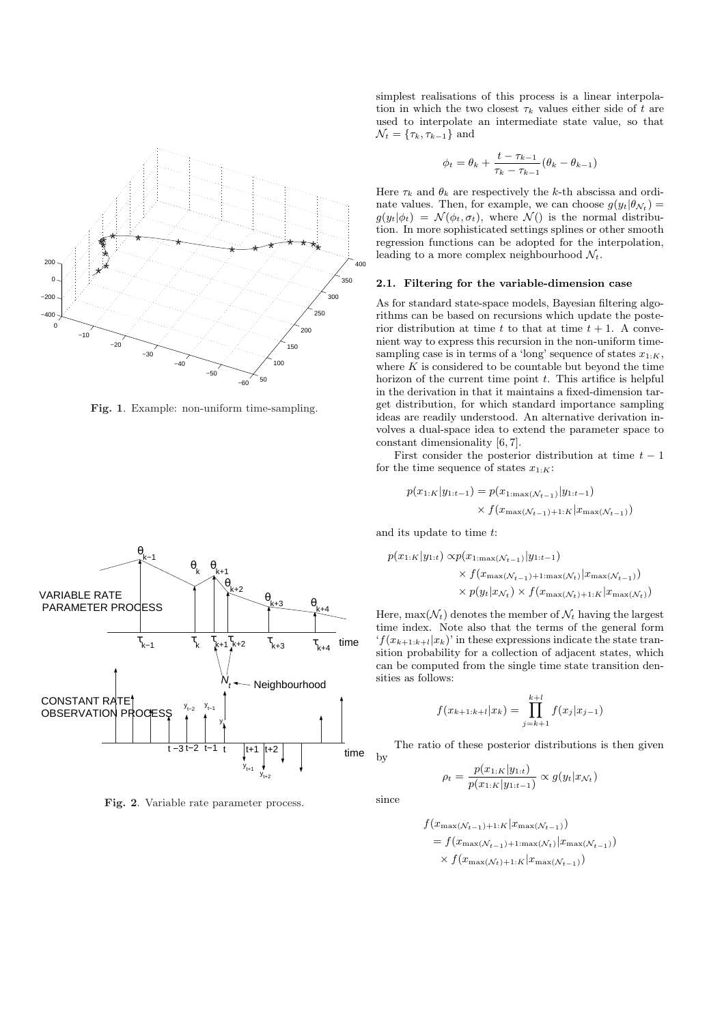

Fig. 1. Example: non-uniform time-sampling.



Fig. 2. Variable rate parameter process.

simplest realisations of this process is a linear interpolation in which the two closest  $\tau_k$  values either side of t are used to interpolate an intermediate state value, so that  $\mathcal{N}_t = \{\tau_k, \tau_{k-1}\}\$ and

$$
\phi_t = \theta_k + \frac{t - \tau_{k-1}}{\tau_k - \tau_{k-1}} (\theta_k - \theta_{k-1})
$$

Here  $\tau_k$  and  $\theta_k$  are respectively the k-th abscissa and ordinate values. Then, for example, we can choose  $g(y_t | \theta_{N_t}) =$  $g(y_t|\phi_t) = \mathcal{N}(\phi_t, \sigma_t)$ , where  $\mathcal{N}(\phi_t)$  is the normal distribution. In more sophisticated settings splines or other smooth regression functions can be adopted for the interpolation, leading to a more complex neighbourhood  $\mathcal{N}_t$ .

# 2.1. Filtering for the variable-dimension case

As for standard state-space models, Bayesian filtering algorithms can be based on recursions which update the posterior distribution at time t to that at time  $t + 1$ . A convenient way to express this recursion in the non-uniform timesampling case is in terms of a 'long' sequence of states  $x_{1:K}$ , where  $K$  is considered to be countable but beyond the time horizon of the current time point  $t$ . This artifice is helpful in the derivation in that it maintains a fixed-dimension target distribution, for which standard importance sampling ideas are readily understood. An alternative derivation involves a dual-space idea to extend the parameter space to constant dimensionality [6, 7].

First consider the posterior distribution at time  $t - 1$ for the time sequence of states  $x_{1:K}$ :

$$
p(x_{1:K}|y_{1:t-1}) = p(x_{1:\max(\mathcal{N}_{t-1})}|y_{1:t-1})
$$
  
 
$$
\times f(x_{\max(\mathcal{N}_{t-1})+1:K}|x_{\max(\mathcal{N}_{t-1})})
$$

and its update to time t:

$$
p(x_{1:K}|y_{1:t}) \propto p(x_{1:\max(\mathcal{N}_{t-1})}|y_{1:t-1})
$$
  
 
$$
\times f(x_{\max(\mathcal{N}_{t-1})+1:\max(\mathcal{N}_t)}|x_{\max(\mathcal{N}_{t-1})})
$$
  
 
$$
\times p(y_t|x_{\mathcal{N}_t}) \times f(x_{\max(\mathcal{N}_t)+1:K}|x_{\max(\mathcal{N}_t)})
$$

Here, max $(\mathcal{N}_t)$  denotes the member of  $\mathcal{N}_t$  having the largest time index. Note also that the terms of the general form  ${}^{i}f(x_{k+1:k+l}|x_k)$ ' in these expressions indicate the state transition probability for a collection of adjacent states, which can be computed from the single time state transition densities as follows:

$$
f(x_{k+1:k+l}|x_k) = \prod_{j=k+1}^{k+l} f(x_j|x_{j-1})
$$

The ratio of these posterior distributions is then given

$$
\rho_t = \frac{p(x_{1:K}|y_{1:t})}{p(x_{1:K}|y_{1:t-1})} \propto g(y_t|x_{\mathcal{N}_t})
$$

since

$$
f(x_{\max(N_{t-1})+1:K}|x_{\max(N_{t-1})})
$$
  
=  $f(x_{\max(N_{t-1})+1:\max(N_t)}|x_{\max(N_{t-1})})$   
 $\times f(x_{\max(N_t)+1:K}|x_{\max(N_{t-1})})$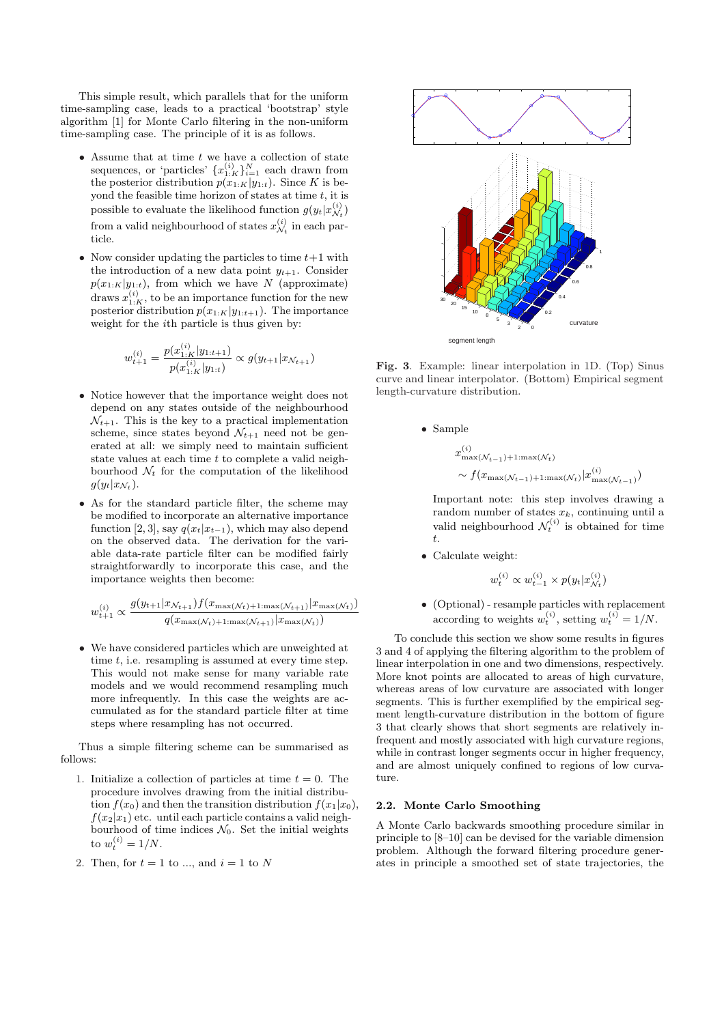This simple result, which parallels that for the uniform time-sampling case, leads to a practical 'bootstrap' style algorithm [1] for Monte Carlo filtering in the non-uniform time-sampling case. The principle of it is as follows.

- $\bullet$  Assume that at time  $t$  we have a collection of state sequences, or 'particles'  ${x_{1:K}^{(i)}}_{i=1}^N$  each drawn from the posterior distribution  $p(x_{1:K}|y_{1:t})$ . Since K is beyond the feasible time horizon of states at time  $t$ , it is possible to evaluate the likelihood function  $g(y_t|x_{\mathcal{N}_t}^{(i)})$ from a valid neighbourhood of states  $x_{\mathcal{N}_t}^{(i)}$  in each particle.
- Now consider updating the particles to time  $t+1$  with the introduction of a new data point  $y_{t+1}$ . Consider  $p(x_{1:K}|y_{1:t})$ , from which we have N (approximate) draws  $x_{1:K}^{(i)}$ , to be an importance function for the new posterior distribution  $p(x_{1:K}|y_{1:t+1})$ . The importance weight for the ith particle is thus given by:

$$
w_{t+1}^{(i)} = \frac{p(x_{1:K}^{(i)}|y_{1:t+1})}{p(x_{1:K}^{(i)}|y_{1:t})} \propto g(y_{t+1}|x_{\mathcal{N}_{t+1}})
$$

- Notice however that the importance weight does not depend on any states outside of the neighbourhood  $\mathcal{N}_{t+1}$ . This is the key to a practical implementation scheme, since states beyond  $\mathcal{N}_{t+1}$  need not be generated at all: we simply need to maintain sufficient state values at each time  $t$  to complete a valid neighbourhood  $\mathcal{N}_t$  for the computation of the likelihood  $g(y_t|x_{\mathcal{N}_t}).$
- As for the standard particle filter, the scheme may be modified to incorporate an alternative importance function [2, 3], say  $q(x_t|x_{t-1})$ , which may also depend on the observed data. The derivation for the variable data-rate particle filter can be modified fairly straightforwardly to incorporate this case, and the importance weights then become:

$$
w_{t+1}^{(i)} \propto \frac{g(y_{t+1}|x_{\mathcal{N}_{t+1}})f(x_{\max(\mathcal{N}_t)+1:\max(\mathcal{N}_{t+1})}|x_{\max(\mathcal{N}_t)})}{q(x_{\max(\mathcal{N}_t)+1:\max(\mathcal{N}_{t+1})}|x_{\max(\mathcal{N}_t)})}
$$

• We have considered particles which are unweighted at time  $t$ , i.e. resampling is assumed at every time step. This would not make sense for many variable rate models and we would recommend resampling much more infrequently. In this case the weights are accumulated as for the standard particle filter at time steps where resampling has not occurred.

Thus a simple filtering scheme can be summarised as follows:

- 1. Initialize a collection of particles at time  $t = 0$ . The procedure involves drawing from the initial distribution  $f(x_0)$  and then the transition distribution  $f(x_1|x_0)$ ,  $f(x_2|x_1)$  etc. until each particle contains a valid neighbourhood of time indices  $\mathcal{N}_0$ . Set the initial weights to  $w_t^{(i)} = 1/N$ .
- 2. Then, for  $t = 1$  to ..., and  $i = 1$  to N



Fig. 3. Example: linear interpolation in 1D. (Top) Sinus curve and linear interpolator. (Bottom) Empirical segment length-curvature distribution.

• Sample

$$
\begin{split} & \boldsymbol{x}^{(i)}_{\max(\mathcal{N}_{t-1})+1:\max(\mathcal{N}_{t})} \\ & \sim f\big(\boldsymbol{x}_{\max(\mathcal{N}_{t-1})+1:\max(\mathcal{N}_{t})}\big|\boldsymbol{x}^{(i)}_{\max(\mathcal{N}_{t-1})}\big) \end{split}
$$

Important note: this step involves drawing a random number of states  $x_k$ , continuing until a valid neighbourhood  $\mathcal{N}_t^{(i)}$  is obtained for time t.

• Calculate weight:

$$
w_t^{(i)} \propto w_{t-1}^{(i)} \times p(y_t|x_{\mathcal{N}_t}^{(i)})
$$

• (Optional) - resample particles with replacement according to weights  $w_t^{(i)}$ , setting  $w_t^{(i)} = 1/N$ .

To conclude this section we show some results in figures 3 and 4 of applying the filtering algorithm to the problem of linear interpolation in one and two dimensions, respectively. More knot points are allocated to areas of high curvature, whereas areas of low curvature are associated with longer segments. This is further exemplified by the empirical segment length-curvature distribution in the bottom of figure 3 that clearly shows that short segments are relatively infrequent and mostly associated with high curvature regions, while in contrast longer segments occur in higher frequency, and are almost uniquely confined to regions of low curvature.

# 2.2. Monte Carlo Smoothing

A Monte Carlo backwards smoothing procedure similar in principle to [8–10] can be devised for the variable dimension problem. Although the forward filtering procedure generates in principle a smoothed set of state trajectories, the